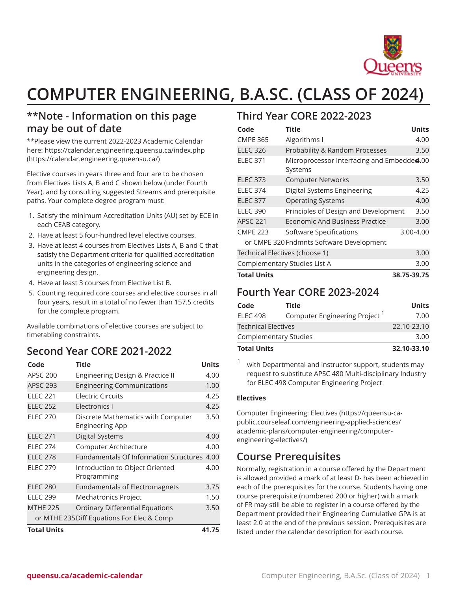

# **COMPUTER ENGINEERING, B.A.SC. (CLASS OF 2024)**

### **\*\*Note - Information on this page may be out of date**

\*\*Please view the current 2022-2023 Academic Calendar here: [https://calendar.engineering.queensu.ca/index.php](https://calendar.engineering.queensu.ca/) ([https://calendar.engineering.queensu.ca/\)](https://calendar.engineering.queensu.ca/)

Elective courses in years three and four are to be chosen from Electives Lists A, B and C shown below (under Fourth Year), and by consulting suggested Streams and prerequisite paths. Your complete degree program must:

- 1. Satisfy the minimum Accreditation Units (AU) set by ECE in each CEAB category.
- 2. Have at least 5 four-hundred level elective courses.
- 3. Have at least 4 courses from Electives Lists A, B and C that satisfy the Department criteria for qualified accreditation units in the categories of engineering science and engineering design.
- 4. Have at least 3 courses from Elective List B.
- 5. Counting required core courses and elective courses in all four years, result in a total of no fewer than 157.5 credits for the complete program.

Available combinations of elective courses are subject to timetabling constraints.

### **Second Year CORE 2021-2022**

| Code                                       | <b>Title</b>                                          | <b>Units</b> |  |
|--------------------------------------------|-------------------------------------------------------|--------------|--|
| <b>APSC 200</b>                            | Engineering Design & Practice II                      | 4.00         |  |
| <b>APSC 293</b>                            | <b>Engineering Communications</b>                     | 1.00         |  |
| <b>ELEC 221</b>                            | <b>Flectric Circuits</b>                              | 4.25         |  |
| <b>ELEC 252</b>                            | Electronics I                                         | 4.25         |  |
| <b>ELEC 270</b>                            | Discrete Mathematics with Computer<br>Engineering App | 3.50         |  |
| <b>ELEC 271</b>                            | <b>Digital Systems</b>                                | 4.00         |  |
| <b>ELEC 274</b>                            | Computer Architecture                                 | 4.00         |  |
| <b>ELEC 278</b>                            | Fundamentals Of Information Structures 4.00           |              |  |
| <b>ELEC 279</b>                            | Introduction to Object Oriented<br>Programming        | 4.00         |  |
| <b>ELEC 280</b>                            | <b>Fundamentals of Electromagnets</b>                 | 3.75         |  |
| <b>ELEC 299</b>                            | Mechatronics Project                                  | 1.50         |  |
| <b>MTHE 225</b>                            | <b>Ordinary Differential Equations</b>                | 3.50         |  |
| or MTHE 235 Diff Equations For Elec & Comp |                                                       |              |  |
| <b>Total Units</b>                         |                                                       |              |  |

#### **Third Year CORE 2022-2023**

| Code                                     | <b>Title</b>                                          | <b>Units</b> |  |  |
|------------------------------------------|-------------------------------------------------------|--------------|--|--|
| <b>CMPE 365</b>                          | Algorithms I                                          | 4.00         |  |  |
| <b>ELEC 326</b>                          | Probability & Random Processes                        | 3.50         |  |  |
| <b>ELEC 371</b>                          | Microprocessor Interfacing and Embedded.00<br>Systems |              |  |  |
| <b>ELEC 373</b>                          | <b>Computer Networks</b>                              | 3.50         |  |  |
| <b>ELEC 374</b>                          | Digital Systems Engineering                           | 4.25         |  |  |
| <b>ELEC 377</b>                          | <b>Operating Systems</b>                              | 4.00         |  |  |
| <b>ELEC 390</b>                          | Principles of Design and Development                  | 3.50         |  |  |
| <b>APSC 221</b>                          | Economic And Business Practice                        | 3.00         |  |  |
| <b>CMPE 223</b>                          | Software Specifications                               | 3.00-4.00    |  |  |
| or CMPE 320 Fndmnts Software Development |                                                       |              |  |  |
| Technical Electives (choose 1)           | 3.00                                                  |              |  |  |
| Complementary Studies List A             | 3.00                                                  |              |  |  |
| <b>Total Units</b><br>38.75-39.75        |                                                       |              |  |  |

#### **Fourth Year CORE 2023-2024**

| Code                         | Title                                     | Units       |
|------------------------------|-------------------------------------------|-------------|
| <b>ELEC 498</b>              | Computer Engineering Project <sup>1</sup> | 7.00        |
| <b>Technical Electives</b>   |                                           | 22.10-23.10 |
| <b>Complementary Studies</b> |                                           | 3.00        |
| <b>Total Units</b>           |                                           | 32.10-33.10 |

1 with Departmental and instructor support, students may request to substitute APSC 480 Multi-disciplinary Industry for ELEC 498 Computer Engineering Project

#### **Electives**

[Computer Engineering: Electives](https://queensu-ca-public.courseleaf.com/engineering-applied-sciences/academic-plans/computer-engineering/computer-engineering-electives/) [\(https://queensu-ca](https://queensu-ca-public.courseleaf.com/engineering-applied-sciences/academic-plans/computer-engineering/computer-engineering-electives/)[public.courseleaf.com/engineering-applied-sciences/](https://queensu-ca-public.courseleaf.com/engineering-applied-sciences/academic-plans/computer-engineering/computer-engineering-electives/) [academic-plans/computer-engineering/computer](https://queensu-ca-public.courseleaf.com/engineering-applied-sciences/academic-plans/computer-engineering/computer-engineering-electives/)[engineering-electives/](https://queensu-ca-public.courseleaf.com/engineering-applied-sciences/academic-plans/computer-engineering/computer-engineering-electives/))

#### **Course Prerequisites**

Normally, registration in a course offered by the Department is allowed provided a mark of at least D- has been achieved in each of the prerequisites for the course. Students having one course prerequisite (numbered 200 or higher) with a mark of FR may still be able to register in a course offered by the Department provided their Engineering Cumulative GPA is at least 2.0 at the end of the previous session. Prerequisites are listed under the calendar description for each course.